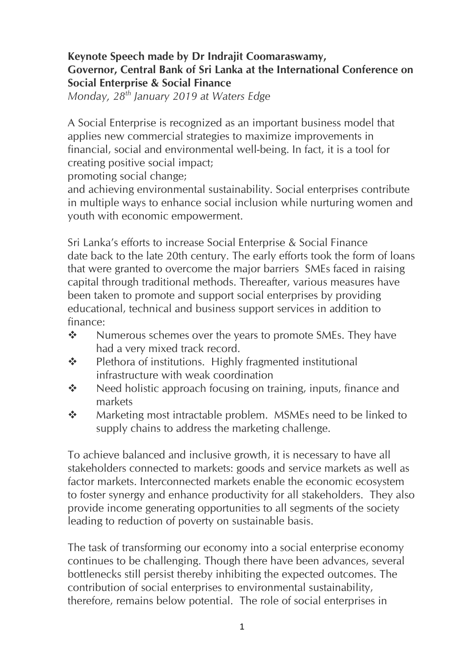## **Keynote Speech made by Dr Indrajit Coomaraswamy, Governor, Central Bank of Sri Lanka at the International Conference on Social Enterprise & Social Finance**

*Monday, 28th January 2019 at Waters Edge*

A Social Enterprise is recognized as an important business model that applies new commercial strategies to maximize improvements in financial, social and environmental well-being. In fact, it is a tool for creating positive social impact;

promoting social change;

and achieving environmental sustainability. Social enterprises contribute in multiple ways to enhance social inclusion while nurturing women and youth with economic empowerment.

Sri Lanka's efforts to increase Social Enterprise & Social Finance date back to the late 20th century. The early efforts took the form of loans that were granted to overcome the major barriers SMEs faced in raising capital through traditional methods. Thereafter, various measures have been taken to promote and support social enterprises by providing educational, technical and business support services in addition to finance:

- ❖ Numerous schemes over the years to promote SMEs. They have had a very mixed track record.
- ❖ Plethora of institutions. Highly fragmented institutional infrastructure with weak coordination
- ❖ Need holistic approach focusing on training, inputs, finance and markets
- ❖ Marketing most intractable problem. MSMEs need to be linked to supply chains to address the marketing challenge.

To achieve balanced and inclusive growth, it is necessary to have all stakeholders connected to markets: goods and service markets as well as factor markets. Interconnected markets enable the economic ecosystem to foster synergy and enhance productivity for all stakeholders. They also provide income generating opportunities to all segments of the society leading to reduction of poverty on sustainable basis.

The task of transforming our economy into a social enterprise economy continues to be challenging. Though there have been advances, several bottlenecks still persist thereby inhibiting the expected outcomes. The contribution of social enterprises to environmental sustainability, therefore, remains below potential. The role of social enterprises in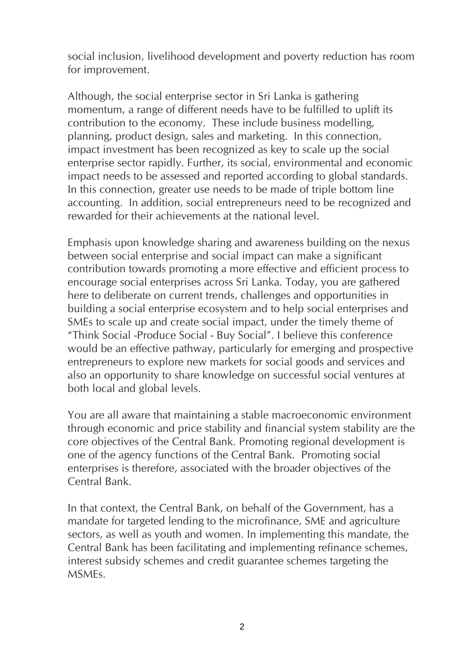social inclusion, livelihood development and poverty reduction has room for improvement.

Although, the social enterprise sector in Sri Lanka is gathering momentum, a range of different needs have to be fulfilled to uplift its contribution to the economy. These include business modelling, planning, product design, sales and marketing. In this connection, impact investment has been recognized as key to scale up the social enterprise sector rapidly. Further, its social, environmental and economic impact needs to be assessed and reported according to global standards. In this connection, greater use needs to be made of triple bottom line accounting. In addition, social entrepreneurs need to be recognized and rewarded for their achievements at the national level.

Emphasis upon knowledge sharing and awareness building on the nexus between social enterprise and social impact can make a significant contribution towards promoting a more effective and efficient process to encourage social enterprises across Sri Lanka. Today, you are gathered here to deliberate on current trends, challenges and opportunities in building a social enterprise ecosystem and to help social enterprises and SMEs to scale up and create social impact, under the timely theme of "Think Social -Produce Social - Buy Social". I believe this conference would be an effective pathway, particularly for emerging and prospective entrepreneurs to explore new markets for social goods and services and also an opportunity to share knowledge on successful social ventures at both local and global levels.

You are all aware that maintaining a stable macroeconomic environment through economic and price stability and financial system stability are the core objectives of the Central Bank. Promoting regional development is one of the agency functions of the Central Bank. Promoting social enterprises is therefore, associated with the broader objectives of the Central Bank.

In that context, the Central Bank, on behalf of the Government, has a mandate for targeted lending to the microfinance, SME and agriculture sectors, as well as youth and women. In implementing this mandate, the Central Bank has been facilitating and implementing refinance schemes, interest subsidy schemes and credit guarantee schemes targeting the MSMEs.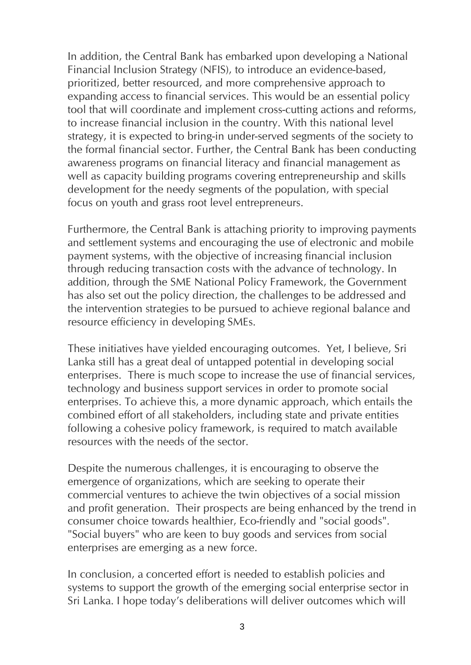In addition, the Central Bank has embarked upon developing a National Financial Inclusion Strategy (NFIS), to introduce an evidence-based, prioritized, better resourced, and more comprehensive approach to expanding access to financial services. This would be an essential policy tool that will coordinate and implement cross-cutting actions and reforms, to increase financial inclusion in the country. With this national level strategy, it is expected to bring-in under-served segments of the society to the formal financial sector. Further, the Central Bank has been conducting awareness programs on financial literacy and financial management as well as capacity building programs covering entrepreneurship and skills development for the needy segments of the population, with special focus on youth and grass root level entrepreneurs.

Furthermore, the Central Bank is attaching priority to improving payments and settlement systems and encouraging the use of electronic and mobile payment systems, with the objective of increasing financial inclusion through reducing transaction costs with the advance of technology. In addition, through the SME National Policy Framework, the Government has also set out the policy direction, the challenges to be addressed and the intervention strategies to be pursued to achieve regional balance and resource efficiency in developing SMEs.

These initiatives have yielded encouraging outcomes. Yet, I believe, Sri Lanka still has a great deal of untapped potential in developing social enterprises. There is much scope to increase the use of financial services, technology and business support services in order to promote social enterprises. To achieve this, a more dynamic approach, which entails the combined effort of all stakeholders, including state and private entities following a cohesive policy framework, is required to match available resources with the needs of the sector.

Despite the numerous challenges, it is encouraging to observe the emergence of organizations, which are seeking to operate their commercial ventures to achieve the twin objectives of a social mission and profit generation. Their prospects are being enhanced by the trend in consumer choice towards healthier, Eco-friendly and "social goods". "Social buyers" who are keen to buy goods and services from social enterprises are emerging as a new force.

In conclusion, a concerted effort is needed to establish policies and systems to support the growth of the emerging social enterprise sector in Sri Lanka. I hope today's deliberations will deliver outcomes which will